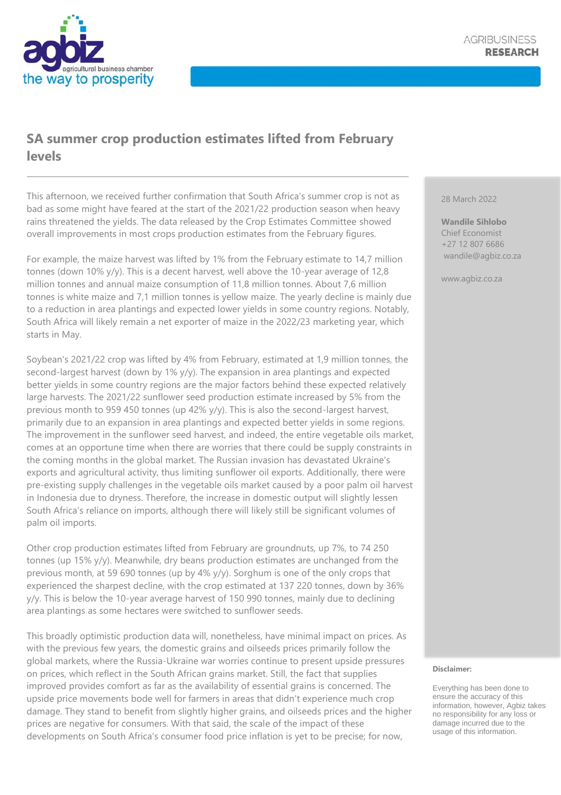

## **SA summer crop production estimates lifted from February levels**

This afternoon, we received further confirmation that South Africa's summer crop is not as bad as some might have feared at the start of the 2021/22 production season when heavy rains threatened the yields. The data released by the Crop Estimates Committee showed overall improvements in most crops production estimates from the February figures.

For example, the maize harvest was lifted by 1% from the February estimate to 14,7 million tonnes (down 10% y/y). This is a decent harvest, well above the 10-year average of 12,8 million tonnes and annual maize consumption of 11,8 million tonnes. About 7,6 million tonnes is white maize and 7,1 million tonnes is yellow maize. The yearly decline is mainly due to a reduction in area plantings and expected lower yields in some country regions. Notably, South Africa will likely remain a net exporter of maize in the 2022/23 marketing year, which starts in May.

Soybean's 2021/22 crop was lifted by 4% from February, estimated at 1,9 million tonnes, the second-largest harvest (down by 1% y/y). The expansion in area plantings and expected better yields in some country regions are the major factors behind these expected relatively large harvests. The 2021/22 sunflower seed production estimate increased by 5% from the previous month to 959 450 tonnes (up 42% y/y). This is also the second-largest harvest, primarily due to an expansion in area plantings and expected better yields in some regions. The improvement in the sunflower seed harvest, and indeed, the entire vegetable oils market, comes at an opportune time when there are worries that there could be supply constraints in the coming months in the global market. The Russian invasion has devastated Ukraine's exports and agricultural activity, thus limiting sunflower oil exports. Additionally, there were pre-existing supply challenges in the vegetable oils market caused by a poor palm oil harvest in Indonesia due to dryness. Therefore, the increase in domestic output will slightly lessen South Africa's reliance on imports, although there will likely still be significant volumes of palm oil imports.

Other crop production estimates lifted from February are groundnuts, up 7%, to 74 250 tonnes (up 15% y/y). Meanwhile, dry beans production estimates are unchanged from the previous month, at 59 690 tonnes (up by 4% y/y). Sorghum is one of the only crops that experienced the sharpest decline, with the crop estimated at 137 220 tonnes, down by 36% y/y. This is below the 10-year average harvest of 150 990 tonnes, mainly due to declining area plantings as some hectares were switched to sunflower seeds.

This broadly optimistic production data will, nonetheless, have minimal impact on prices. As with the previous few years, the domestic grains and oilseeds prices primarily follow the global markets, where the Russia-Ukraine war worries continue to present upside pressures on prices, which reflect in the South African grains market. Still, the fact that supplies improved provides comfort as far as the availability of essential grains is concerned. The upside price movements bode well for farmers in areas that didn't experience much crop damage. They stand to benefit from slightly higher grains, and oilseeds prices and the higher prices are negative for consumers. With that said, the scale of the impact of these developments on South Africa's consumer food price inflation is yet to be precise; for now,

## 28 March 2022

**Wandile Sihlobo** Chief Economist +27 12 807 6686 wandile@agbiz.co.za

www.agbiz.co.za

## **Disclaimer:**

Everything has been done to ensure the accuracy of this information, however, Agbiz takes no responsibility for any loss or damage incurred due to the usage of this information.